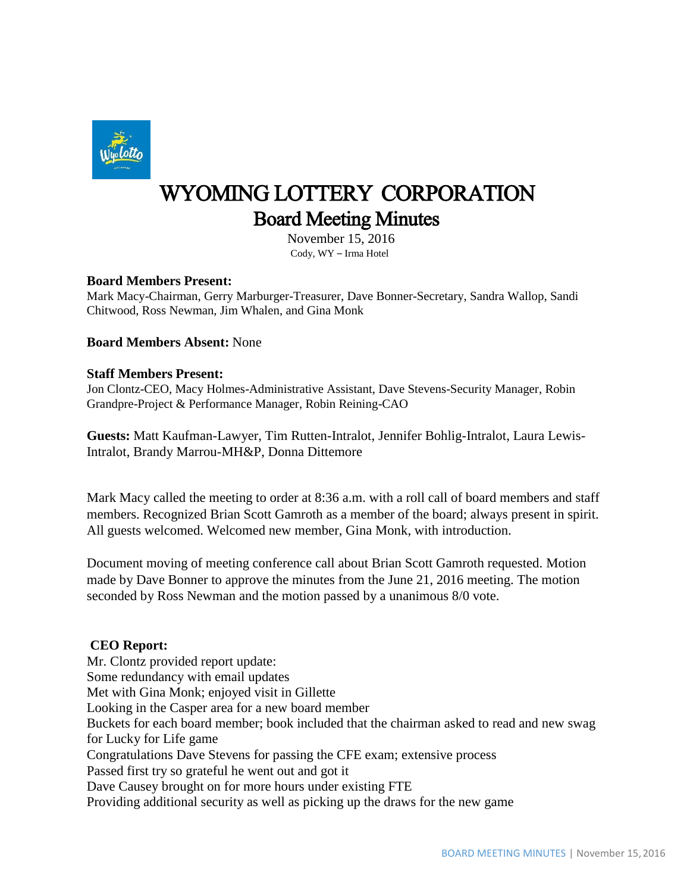

# WYOMING LOTTERY CORPORATION Board Meeting Minutes

 November 15, 2016 Cody, WY – Irma Hotel

#### **Board Members Present:**

Mark Macy-Chairman, Gerry Marburger-Treasurer, Dave Bonner-Secretary, Sandra Wallop, Sandi Chitwood, Ross Newman, Jim Whalen, and Gina Monk

**Board Members Absent:** None

#### **Staff Members Present:**

Jon Clontz-CEO, Macy Holmes-Administrative Assistant, Dave Stevens-Security Manager, Robin Grandpre-Project & Performance Manager, Robin Reining-CAO

**Guests:** Matt Kaufman-Lawyer, Tim Rutten-Intralot, Jennifer Bohlig-Intralot, Laura Lewis-Intralot, Brandy Marrou-MH&P, Donna Dittemore

Mark Macy called the meeting to order at 8:36 a.m. with a roll call of board members and staff members. Recognized Brian Scott Gamroth as a member of the board; always present in spirit. All guests welcomed. Welcomed new member, Gina Monk, with introduction.

Document moving of meeting conference call about Brian Scott Gamroth requested. Motion made by Dave Bonner to approve the minutes from the June 21, 2016 meeting. The motion seconded by Ross Newman and the motion passed by a unanimous 8/0 vote.

### **CEO Report:**

Mr. Clontz provided report update: Some redundancy with email updates Met with Gina Monk; enjoyed visit in Gillette Looking in the Casper area for a new board member Buckets for each board member; book included that the chairman asked to read and new swag for Lucky for Life game Congratulations Dave Stevens for passing the CFE exam; extensive process Passed first try so grateful he went out and got it Dave Causey brought on for more hours under existing FTE Providing additional security as well as picking up the draws for the new game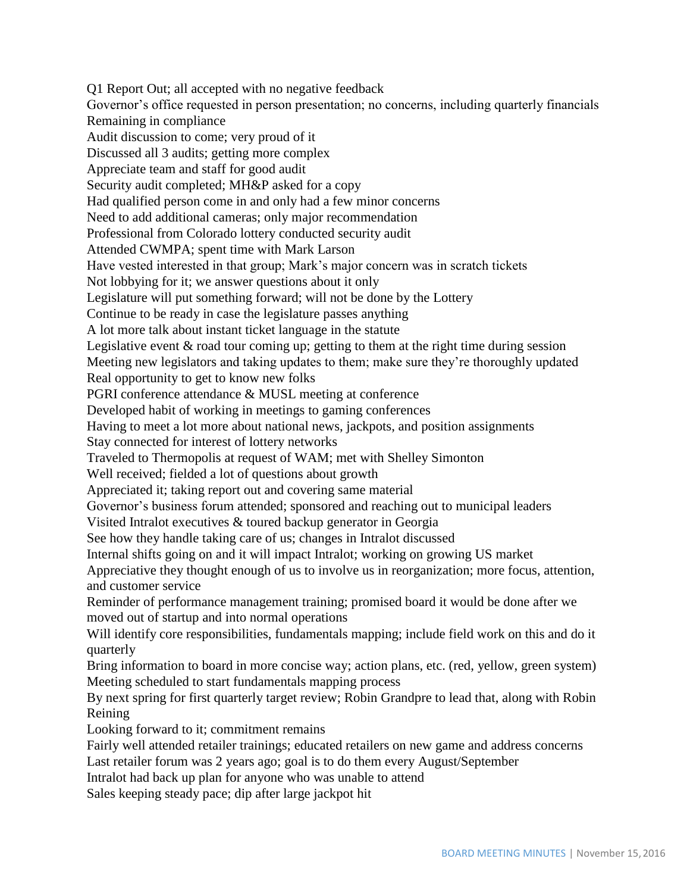Q1 Report Out; all accepted with no negative feedback Governor's office requested in person presentation; no concerns, including quarterly financials Remaining in compliance Audit discussion to come; very proud of it Discussed all 3 audits; getting more complex Appreciate team and staff for good audit Security audit completed; MH&P asked for a copy Had qualified person come in and only had a few minor concerns Need to add additional cameras; only major recommendation Professional from Colorado lottery conducted security audit Attended CWMPA; spent time with Mark Larson Have vested interested in that group; Mark's major concern was in scratch tickets Not lobbying for it; we answer questions about it only Legislature will put something forward; will not be done by the Lottery Continue to be ready in case the legislature passes anything A lot more talk about instant ticket language in the statute Legislative event & road tour coming up; getting to them at the right time during session Meeting new legislators and taking updates to them; make sure they're thoroughly updated Real opportunity to get to know new folks PGRI conference attendance & MUSL meeting at conference Developed habit of working in meetings to gaming conferences Having to meet a lot more about national news, jackpots, and position assignments Stay connected for interest of lottery networks Traveled to Thermopolis at request of WAM; met with Shelley Simonton Well received; fielded a lot of questions about growth Appreciated it; taking report out and covering same material Governor's business forum attended; sponsored and reaching out to municipal leaders Visited Intralot executives & toured backup generator in Georgia See how they handle taking care of us; changes in Intralot discussed Internal shifts going on and it will impact Intralot; working on growing US market Appreciative they thought enough of us to involve us in reorganization; more focus, attention, and customer service Reminder of performance management training; promised board it would be done after we moved out of startup and into normal operations Will identify core responsibilities, fundamentals mapping; include field work on this and do it quarterly Bring information to board in more concise way; action plans, etc. (red, yellow, green system) Meeting scheduled to start fundamentals mapping process By next spring for first quarterly target review; Robin Grandpre to lead that, along with Robin Reining Looking forward to it; commitment remains Fairly well attended retailer trainings; educated retailers on new game and address concerns Last retailer forum was 2 years ago; goal is to do them every August/September Intralot had back up plan for anyone who was unable to attend Sales keeping steady pace; dip after large jackpot hit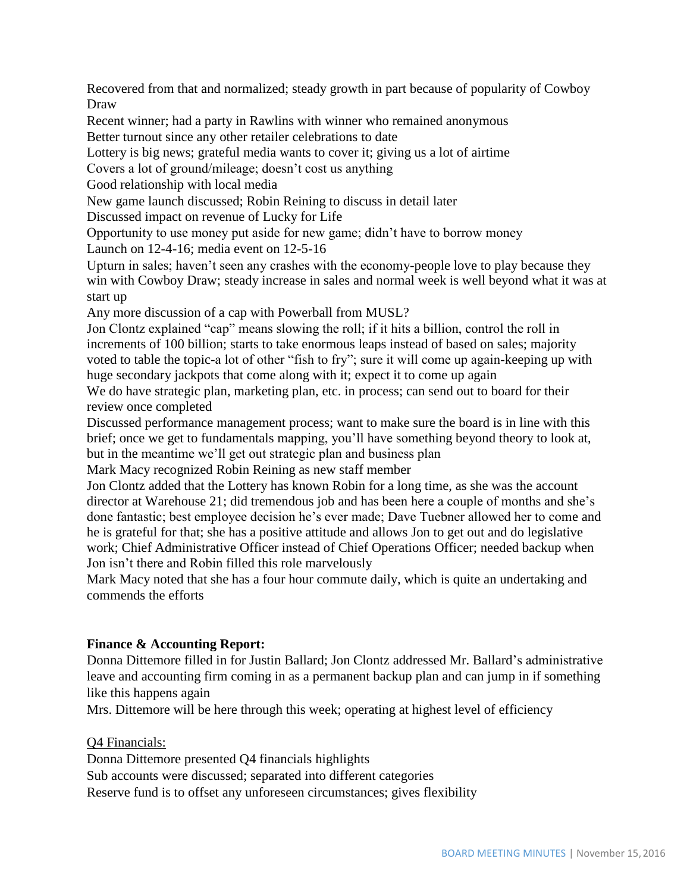Recovered from that and normalized; steady growth in part because of popularity of Cowboy Draw

Recent winner; had a party in Rawlins with winner who remained anonymous Better turnout since any other retailer celebrations to date

Lottery is big news; grateful media wants to cover it; giving us a lot of airtime

Covers a lot of ground/mileage; doesn't cost us anything

Good relationship with local media

New game launch discussed; Robin Reining to discuss in detail later

Discussed impact on revenue of Lucky for Life

Opportunity to use money put aside for new game; didn't have to borrow money

Launch on 12-4-16; media event on 12-5-16

Upturn in sales; haven't seen any crashes with the economy-people love to play because they win with Cowboy Draw; steady increase in sales and normal week is well beyond what it was at start up

Any more discussion of a cap with Powerball from MUSL?

Jon Clontz explained "cap" means slowing the roll; if it hits a billion, control the roll in increments of 100 billion; starts to take enormous leaps instead of based on sales; majority voted to table the topic-a lot of other "fish to fry"; sure it will come up again-keeping up with huge secondary jackpots that come along with it; expect it to come up again

We do have strategic plan, marketing plan, etc. in process; can send out to board for their review once completed

Discussed performance management process; want to make sure the board is in line with this brief; once we get to fundamentals mapping, you'll have something beyond theory to look at, but in the meantime we'll get out strategic plan and business plan

Mark Macy recognized Robin Reining as new staff member

Jon Clontz added that the Lottery has known Robin for a long time, as she was the account director at Warehouse 21; did tremendous job and has been here a couple of months and she's done fantastic; best employee decision he's ever made; Dave Tuebner allowed her to come and he is grateful for that; she has a positive attitude and allows Jon to get out and do legislative work; Chief Administrative Officer instead of Chief Operations Officer; needed backup when Jon isn't there and Robin filled this role marvelously

Mark Macy noted that she has a four hour commute daily, which is quite an undertaking and commends the efforts

# **Finance & Accounting Report:**

Donna Dittemore filled in for Justin Ballard; Jon Clontz addressed Mr. Ballard's administrative leave and accounting firm coming in as a permanent backup plan and can jump in if something like this happens again

Mrs. Dittemore will be here through this week; operating at highest level of efficiency

Q4 Financials:

Donna Dittemore presented Q4 financials highlights

Sub accounts were discussed; separated into different categories

Reserve fund is to offset any unforeseen circumstances; gives flexibility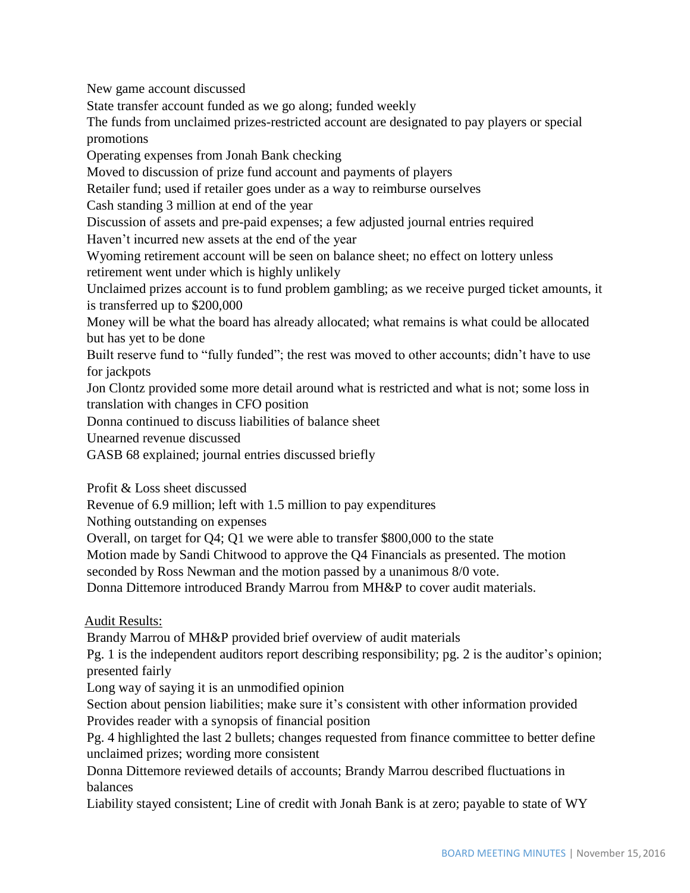New game account discussed

State transfer account funded as we go along; funded weekly

The funds from unclaimed prizes-restricted account are designated to pay players or special promotions

Operating expenses from Jonah Bank checking

Moved to discussion of prize fund account and payments of players

Retailer fund; used if retailer goes under as a way to reimburse ourselves

Cash standing 3 million at end of the year

Discussion of assets and pre-paid expenses; a few adjusted journal entries required Haven't incurred new assets at the end of the year

Wyoming retirement account will be seen on balance sheet; no effect on lottery unless retirement went under which is highly unlikely

Unclaimed prizes account is to fund problem gambling; as we receive purged ticket amounts, it is transferred up to \$200,000

Money will be what the board has already allocated; what remains is what could be allocated but has yet to be done

Built reserve fund to "fully funded"; the rest was moved to other accounts; didn't have to use for jackpots

Jon Clontz provided some more detail around what is restricted and what is not; some loss in translation with changes in CFO position

Donna continued to discuss liabilities of balance sheet

Unearned revenue discussed

GASB 68 explained; journal entries discussed briefly

Profit & Loss sheet discussed

Revenue of 6.9 million; left with 1.5 million to pay expenditures

Nothing outstanding on expenses

Overall, on target for Q4; Q1 we were able to transfer \$800,000 to the state

Motion made by Sandi Chitwood to approve the Q4 Financials as presented. The motion

seconded by Ross Newman and the motion passed by a unanimous 8/0 vote.

Donna Dittemore introduced Brandy Marrou from MH&P to cover audit materials.

Audit Results:

Brandy Marrou of MH&P provided brief overview of audit materials

Pg. 1 is the independent auditors report describing responsibility; pg. 2 is the auditor's opinion; presented fairly

Long way of saying it is an unmodified opinion

Section about pension liabilities; make sure it's consistent with other information provided Provides reader with a synopsis of financial position

Pg. 4 highlighted the last 2 bullets; changes requested from finance committee to better define unclaimed prizes; wording more consistent

Donna Dittemore reviewed details of accounts; Brandy Marrou described fluctuations in balances

Liability stayed consistent; Line of credit with Jonah Bank is at zero; payable to state of WY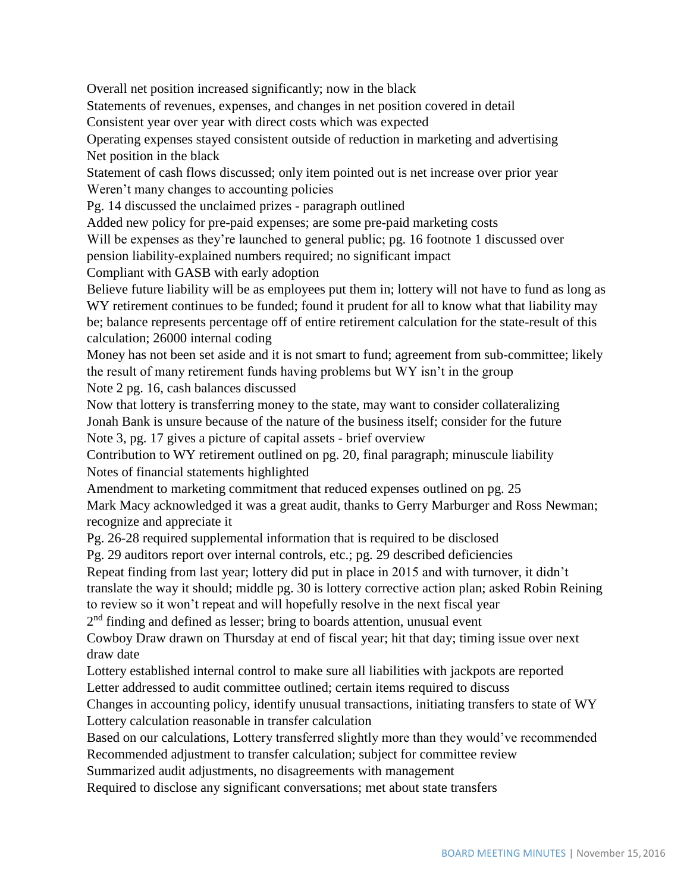Overall net position increased significantly; now in the black

Statements of revenues, expenses, and changes in net position covered in detail

Consistent year over year with direct costs which was expected

Operating expenses stayed consistent outside of reduction in marketing and advertising Net position in the black

Statement of cash flows discussed; only item pointed out is net increase over prior year Weren't many changes to accounting policies

Pg. 14 discussed the unclaimed prizes - paragraph outlined

Added new policy for pre-paid expenses; are some pre-paid marketing costs

Will be expenses as they're launched to general public; pg. 16 footnote 1 discussed over pension liability-explained numbers required; no significant impact

Compliant with GASB with early adoption

Believe future liability will be as employees put them in; lottery will not have to fund as long as WY retirement continues to be funded; found it prudent for all to know what that liability may be; balance represents percentage off of entire retirement calculation for the state-result of this calculation; 26000 internal coding

Money has not been set aside and it is not smart to fund; agreement from sub-committee; likely the result of many retirement funds having problems but WY isn't in the group Note 2 pg. 16, cash balances discussed

Now that lottery is transferring money to the state, may want to consider collateralizing Jonah Bank is unsure because of the nature of the business itself; consider for the future Note 3, pg. 17 gives a picture of capital assets - brief overview

Contribution to WY retirement outlined on pg. 20, final paragraph; minuscule liability Notes of financial statements highlighted

Amendment to marketing commitment that reduced expenses outlined on pg. 25

Mark Macy acknowledged it was a great audit, thanks to Gerry Marburger and Ross Newman; recognize and appreciate it

Pg. 26-28 required supplemental information that is required to be disclosed

Pg. 29 auditors report over internal controls, etc.; pg. 29 described deficiencies

Repeat finding from last year; lottery did put in place in 2015 and with turnover, it didn't translate the way it should; middle pg. 30 is lottery corrective action plan; asked Robin Reining to review so it won't repeat and will hopefully resolve in the next fiscal year

2<sup>nd</sup> finding and defined as lesser; bring to boards attention, unusual event

Cowboy Draw drawn on Thursday at end of fiscal year; hit that day; timing issue over next draw date

Lottery established internal control to make sure all liabilities with jackpots are reported Letter addressed to audit committee outlined; certain items required to discuss

Changes in accounting policy, identify unusual transactions, initiating transfers to state of WY Lottery calculation reasonable in transfer calculation

Based on our calculations, Lottery transferred slightly more than they would've recommended Recommended adjustment to transfer calculation; subject for committee review

Summarized audit adjustments, no disagreements with management

Required to disclose any significant conversations; met about state transfers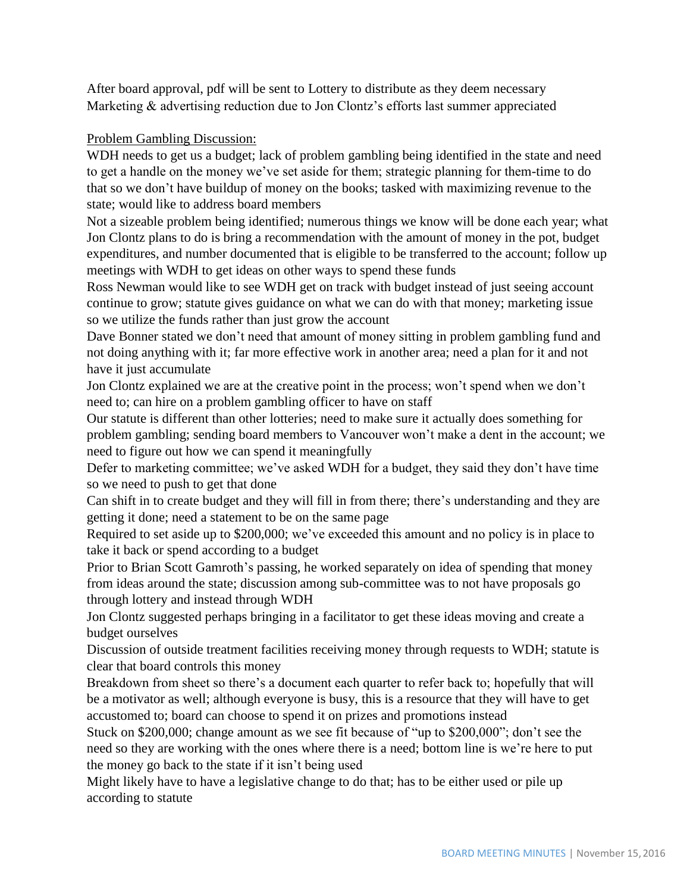After board approval, pdf will be sent to Lottery to distribute as they deem necessary Marketing & advertising reduction due to Jon Clontz's efforts last summer appreciated

# Problem Gambling Discussion:

WDH needs to get us a budget; lack of problem gambling being identified in the state and need to get a handle on the money we've set aside for them; strategic planning for them-time to do that so we don't have buildup of money on the books; tasked with maximizing revenue to the state; would like to address board members

Not a sizeable problem being identified; numerous things we know will be done each year; what Jon Clontz plans to do is bring a recommendation with the amount of money in the pot, budget expenditures, and number documented that is eligible to be transferred to the account; follow up meetings with WDH to get ideas on other ways to spend these funds

Ross Newman would like to see WDH get on track with budget instead of just seeing account continue to grow; statute gives guidance on what we can do with that money; marketing issue so we utilize the funds rather than just grow the account

Dave Bonner stated we don't need that amount of money sitting in problem gambling fund and not doing anything with it; far more effective work in another area; need a plan for it and not have it just accumulate

Jon Clontz explained we are at the creative point in the process; won't spend when we don't need to; can hire on a problem gambling officer to have on staff

Our statute is different than other lotteries; need to make sure it actually does something for problem gambling; sending board members to Vancouver won't make a dent in the account; we need to figure out how we can spend it meaningfully

Defer to marketing committee; we've asked WDH for a budget, they said they don't have time so we need to push to get that done

Can shift in to create budget and they will fill in from there; there's understanding and they are getting it done; need a statement to be on the same page

Required to set aside up to \$200,000; we've exceeded this amount and no policy is in place to take it back or spend according to a budget

Prior to Brian Scott Gamroth's passing, he worked separately on idea of spending that money from ideas around the state; discussion among sub-committee was to not have proposals go through lottery and instead through WDH

Jon Clontz suggested perhaps bringing in a facilitator to get these ideas moving and create a budget ourselves

Discussion of outside treatment facilities receiving money through requests to WDH; statute is clear that board controls this money

Breakdown from sheet so there's a document each quarter to refer back to; hopefully that will be a motivator as well; although everyone is busy, this is a resource that they will have to get accustomed to; board can choose to spend it on prizes and promotions instead

Stuck on \$200,000; change amount as we see fit because of "up to \$200,000"; don't see the need so they are working with the ones where there is a need; bottom line is we're here to put the money go back to the state if it isn't being used

Might likely have to have a legislative change to do that; has to be either used or pile up according to statute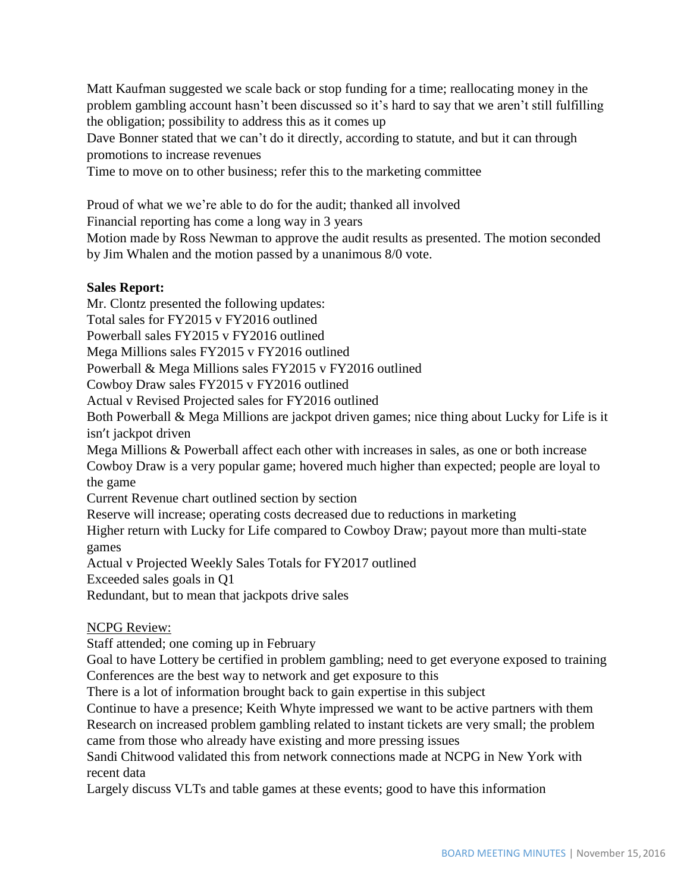Matt Kaufman suggested we scale back or stop funding for a time; reallocating money in the problem gambling account hasn't been discussed so it's hard to say that we aren't still fulfilling the obligation; possibility to address this as it comes up

Dave Bonner stated that we can't do it directly, according to statute, and but it can through promotions to increase revenues

Time to move on to other business; refer this to the marketing committee

Proud of what we we're able to do for the audit; thanked all involved

Financial reporting has come a long way in 3 years

Motion made by Ross Newman to approve the audit results as presented. The motion seconded by Jim Whalen and the motion passed by a unanimous 8/0 vote.

## **Sales Report:**

Mr. Clontz presented the following updates:

Total sales for FY2015 v FY2016 outlined

Powerball sales FY2015 v FY2016 outlined

Mega Millions sales FY2015 v FY2016 outlined

Powerball & Mega Millions sales FY2015 v FY2016 outlined

Cowboy Draw sales FY2015 v FY2016 outlined

Actual v Revised Projected sales for FY2016 outlined

Both Powerball & Mega Millions are jackpot driven games; nice thing about Lucky for Life is it isn't jackpot driven

Mega Millions & Powerball affect each other with increases in sales, as one or both increase Cowboy Draw is a very popular game; hovered much higher than expected; people are loyal to the game

Current Revenue chart outlined section by section

Reserve will increase; operating costs decreased due to reductions in marketing

Higher return with Lucky for Life compared to Cowboy Draw; payout more than multi-state games

Actual v Projected Weekly Sales Totals for FY2017 outlined

Exceeded sales goals in Q1

Redundant, but to mean that jackpots drive sales

# NCPG Review:

Staff attended; one coming up in February

Goal to have Lottery be certified in problem gambling; need to get everyone exposed to training Conferences are the best way to network and get exposure to this

There is a lot of information brought back to gain expertise in this subject

Continue to have a presence; Keith Whyte impressed we want to be active partners with them Research on increased problem gambling related to instant tickets are very small; the problem came from those who already have existing and more pressing issues

Sandi Chitwood validated this from network connections made at NCPG in New York with recent data

Largely discuss VLTs and table games at these events; good to have this information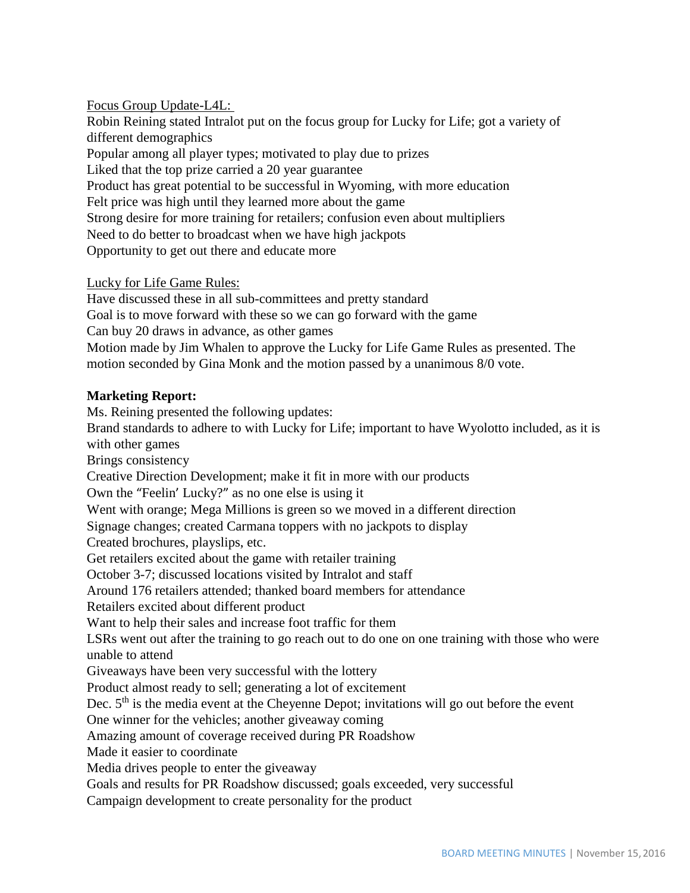Focus Group Update-L4L: Robin Reining stated Intralot put on the focus group for Lucky for Life; got a variety of different demographics Popular among all player types; motivated to play due to prizes Liked that the top prize carried a 20 year guarantee Product has great potential to be successful in Wyoming, with more education Felt price was high until they learned more about the game Strong desire for more training for retailers; confusion even about multipliers Need to do better to broadcast when we have high jackpots Opportunity to get out there and educate more

Lucky for Life Game Rules:

Have discussed these in all sub-committees and pretty standard Goal is to move forward with these so we can go forward with the game Can buy 20 draws in advance, as other games Motion made by Jim Whalen to approve the Lucky for Life Game Rules as presented. The motion seconded by Gina Monk and the motion passed by a unanimous 8/0 vote.

#### **Marketing Report:**

Ms. Reining presented the following updates: Brand standards to adhere to with Lucky for Life; important to have Wyolotto included, as it is with other games Brings consistency Creative Direction Development; make it fit in more with our products Own the "Feelin' Lucky?" as no one else is using it Went with orange; Mega Millions is green so we moved in a different direction Signage changes; created Carmana toppers with no jackpots to display Created brochures, playslips, etc. Get retailers excited about the game with retailer training October 3-7; discussed locations visited by Intralot and staff Around 176 retailers attended; thanked board members for attendance Retailers excited about different product Want to help their sales and increase foot traffic for them LSRs went out after the training to go reach out to do one on one training with those who were unable to attend Giveaways have been very successful with the lottery Product almost ready to sell; generating a lot of excitement Dec.  $5<sup>th</sup>$  is the media event at the Cheyenne Depot; invitations will go out before the event One winner for the vehicles; another giveaway coming Amazing amount of coverage received during PR Roadshow Made it easier to coordinate Media drives people to enter the giveaway Goals and results for PR Roadshow discussed; goals exceeded, very successful Campaign development to create personality for the product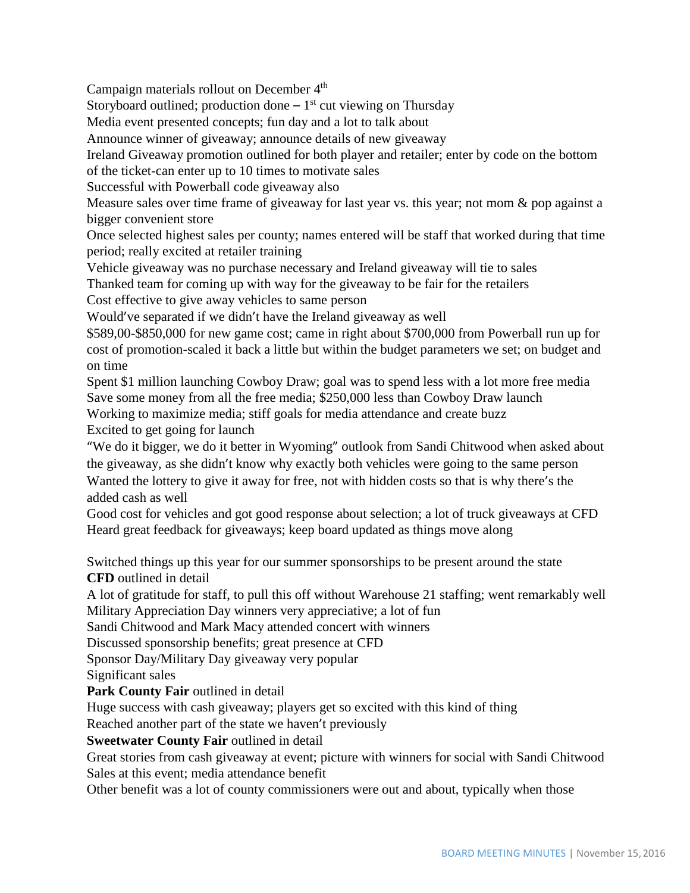Campaign materials rollout on December 4<sup>th</sup>

Storyboard outlined; production done  $-1<sup>st</sup>$  cut viewing on Thursday

Media event presented concepts; fun day and a lot to talk about

Announce winner of giveaway; announce details of new giveaway

Ireland Giveaway promotion outlined for both player and retailer; enter by code on the bottom

of the ticket-can enter up to 10 times to motivate sales

Successful with Powerball code giveaway also

Measure sales over time frame of giveaway for last year vs. this year; not mom & pop against a bigger convenient store

Once selected highest sales per county; names entered will be staff that worked during that time period; really excited at retailer training

Vehicle giveaway was no purchase necessary and Ireland giveaway will tie to sales

Thanked team for coming up with way for the giveaway to be fair for the retailers

Cost effective to give away vehicles to same person

Would've separated if we didn't have the Ireland giveaway as well

\$589,00-\$850,000 for new game cost; came in right about \$700,000 from Powerball run up for cost of promotion-scaled it back a little but within the budget parameters we set; on budget and on time

Spent \$1 million launching Cowboy Draw; goal was to spend less with a lot more free media Save some money from all the free media; \$250,000 less than Cowboy Draw launch

Working to maximize media; stiff goals for media attendance and create buzz

Excited to get going for launch

"We do it bigger, we do it better in Wyoming" outlook from Sandi Chitwood when asked about the giveaway, as she didn't know why exactly both vehicles were going to the same person Wanted the lottery to give it away for free, not with hidden costs so that is why there's the added cash as well

Good cost for vehicles and got good response about selection; a lot of truck giveaways at CFD Heard great feedback for giveaways; keep board updated as things move along

Switched things up this year for our summer sponsorships to be present around the state **CFD** outlined in detail

A lot of gratitude for staff, to pull this off without Warehouse 21 staffing; went remarkably well Military Appreciation Day winners very appreciative; a lot of fun

Sandi Chitwood and Mark Macy attended concert with winners

Discussed sponsorship benefits; great presence at CFD

Sponsor Day/Military Day giveaway very popular

Significant sales

Park County Fair outlined in detail

Huge success with cash giveaway; players get so excited with this kind of thing

Reached another part of the state we haven't previously

# **Sweetwater County Fair** outlined in detail

Great stories from cash giveaway at event; picture with winners for social with Sandi Chitwood Sales at this event; media attendance benefit

Other benefit was a lot of county commissioners were out and about, typically when those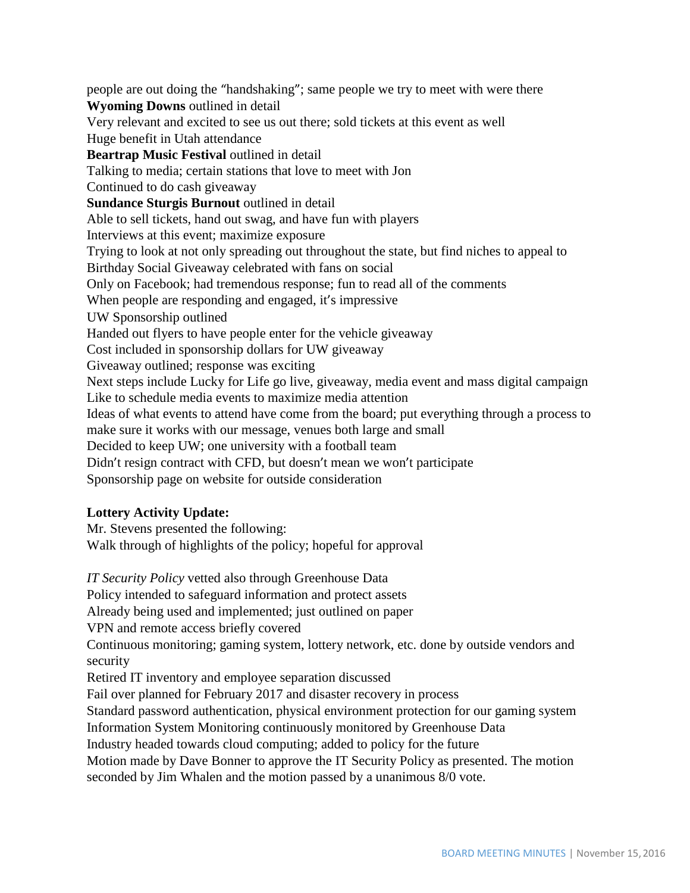people are out doing the "handshaking"; same people we try to meet with were there **Wyoming Downs** outlined in detail Very relevant and excited to see us out there; sold tickets at this event as well Huge benefit in Utah attendance **Beartrap Music Festival** outlined in detail Talking to media; certain stations that love to meet with Jon Continued to do cash giveaway **Sundance Sturgis Burnout** outlined in detail Able to sell tickets, hand out swag, and have fun with players Interviews at this event; maximize exposure Trying to look at not only spreading out throughout the state, but find niches to appeal to Birthday Social Giveaway celebrated with fans on social Only on Facebook; had tremendous response; fun to read all of the comments When people are responding and engaged, it's impressive UW Sponsorship outlined Handed out flyers to have people enter for the vehicle giveaway Cost included in sponsorship dollars for UW giveaway Giveaway outlined; response was exciting Next steps include Lucky for Life go live, giveaway, media event and mass digital campaign Like to schedule media events to maximize media attention Ideas of what events to attend have come from the board; put everything through a process to make sure it works with our message, venues both large and small Decided to keep UW; one university with a football team Didn't resign contract with CFD, but doesn't mean we won't participate Sponsorship page on website for outside consideration

### **Lottery Activity Update:**

Mr. Stevens presented the following: Walk through of highlights of the policy; hopeful for approval

*IT Security Policy* vetted also through Greenhouse Data Policy intended to safeguard information and protect assets Already being used and implemented; just outlined on paper VPN and remote access briefly covered Continuous monitoring; gaming system, lottery network, etc. done by outside vendors and security Retired IT inventory and employee separation discussed Fail over planned for February 2017 and disaster recovery in process Standard password authentication, physical environment protection for our gaming system Information System Monitoring continuously monitored by Greenhouse Data Industry headed towards cloud computing; added to policy for the future Motion made by Dave Bonner to approve the IT Security Policy as presented. The motion seconded by Jim Whalen and the motion passed by a unanimous 8/0 vote.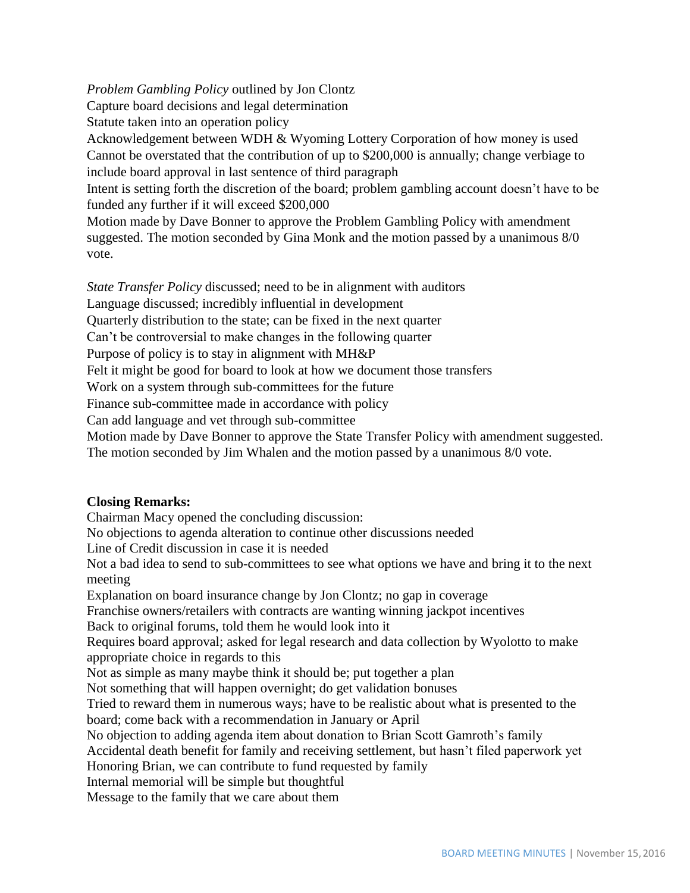*Problem Gambling Policy* outlined by Jon Clontz Capture board decisions and legal determination Statute taken into an operation policy Acknowledgement between WDH & Wyoming Lottery Corporation of how money is used Cannot be overstated that the contribution of up to \$200,000 is annually; change verbiage to include board approval in last sentence of third paragraph Intent is setting forth the discretion of the board; problem gambling account doesn't have to be funded any further if it will exceed \$200,000

Motion made by Dave Bonner to approve the Problem Gambling Policy with amendment suggested. The motion seconded by Gina Monk and the motion passed by a unanimous 8/0 vote.

*State Transfer Policy* discussed; need to be in alignment with auditors

Language discussed; incredibly influential in development

Quarterly distribution to the state; can be fixed in the next quarter

Can't be controversial to make changes in the following quarter

Purpose of policy is to stay in alignment with MH&P

Felt it might be good for board to look at how we document those transfers

Work on a system through sub-committees for the future

Finance sub-committee made in accordance with policy

Can add language and vet through sub-committee

Motion made by Dave Bonner to approve the State Transfer Policy with amendment suggested. The motion seconded by Jim Whalen and the motion passed by a unanimous 8/0 vote.

### **Closing Remarks:**

Chairman Macy opened the concluding discussion: No objections to agenda alteration to continue other discussions needed Line of Credit discussion in case it is needed Not a bad idea to send to sub-committees to see what options we have and bring it to the next meeting Explanation on board insurance change by Jon Clontz; no gap in coverage Franchise owners/retailers with contracts are wanting winning jackpot incentives Back to original forums, told them he would look into it Requires board approval; asked for legal research and data collection by Wyolotto to make appropriate choice in regards to this Not as simple as many maybe think it should be; put together a plan Not something that will happen overnight; do get validation bonuses Tried to reward them in numerous ways; have to be realistic about what is presented to the board; come back with a recommendation in January or April No objection to adding agenda item about donation to Brian Scott Gamroth's family Accidental death benefit for family and receiving settlement, but hasn't filed paperwork yet Honoring Brian, we can contribute to fund requested by family Internal memorial will be simple but thoughtful Message to the family that we care about them